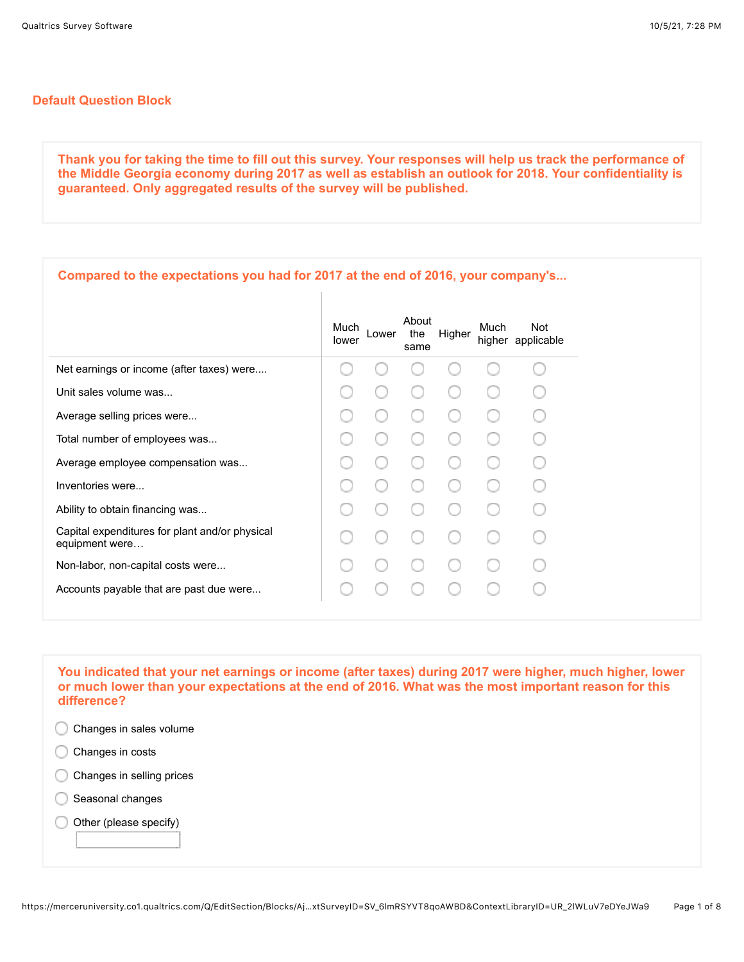## **Default Question Block**

**Thank you for taking the time to fill out this survey. Your responses will help us track the performance of the Middle Georgia economy during 2017 as well as establish an outlook for 2018. Your confidentiality is guaranteed. Only aggregated results of the survey will be published.**

| Compared to the expectations you had for 2017 at the end of 2016, your company's |               |       |                      |        |      |                                 |
|----------------------------------------------------------------------------------|---------------|-------|----------------------|--------|------|---------------------------------|
|                                                                                  | Much<br>lower | Lower | About<br>the<br>same | Higher | Much | <b>Not</b><br>higher applicable |
| Net earnings or income (after taxes) were                                        |               |       |                      |        |      |                                 |
| Unit sales volume was                                                            |               |       |                      |        |      |                                 |
| Average selling prices were                                                      |               |       |                      |        |      |                                 |
| Total number of employees was                                                    |               |       |                      |        |      |                                 |
| Average employee compensation was                                                |               |       |                      |        |      |                                 |
| Inventories were                                                                 |               |       |                      |        |      |                                 |
| Ability to obtain financing was                                                  |               |       |                      |        |      |                                 |
| Capital expenditures for plant and/or physical<br>equipment were                 |               |       |                      |        |      |                                 |
| Non-labor, non-capital costs were                                                |               |       |                      |        |      |                                 |
| Accounts payable that are past due were                                          |               |       |                      |        |      |                                 |
|                                                                                  |               |       |                      |        |      |                                 |

**You indicated that your net earnings or income (after taxes) during 2017 were higher, much higher, lower or much lower than your expectations at the end of 2016. What was the most important reason for this difference?** 

- Changes in sales volume
- Changes in costs ◯
- C Changes in selling prices
- Seasonal changes
- Other (please specify)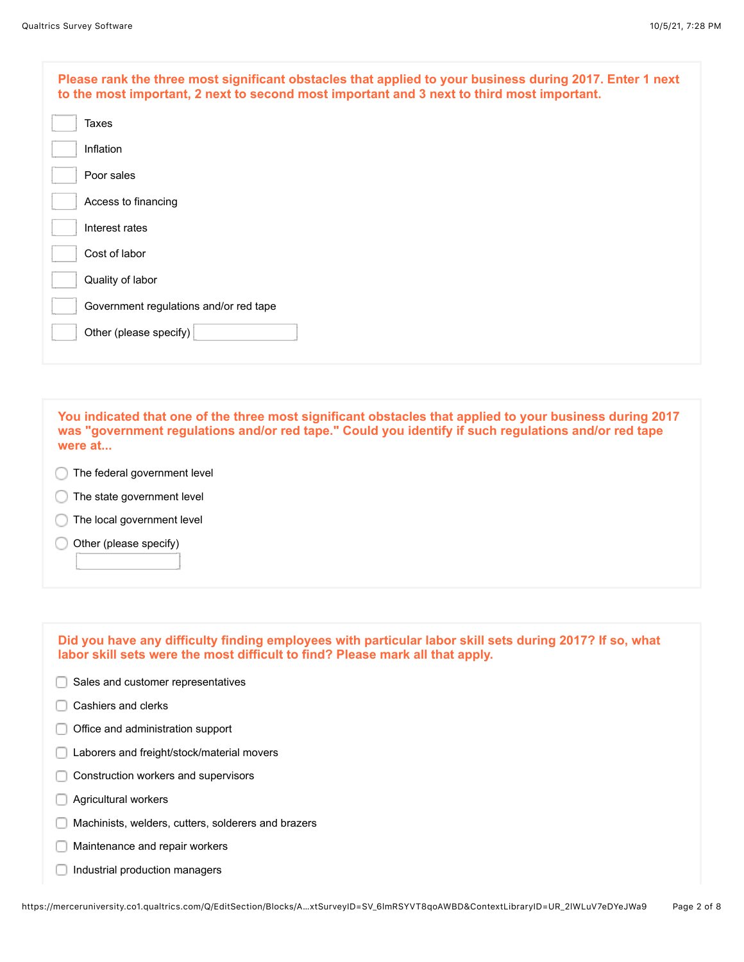| Please rank the three most significant obstacles that applied to your business during 2017. Enter 1 next<br>to the most important, 2 next to second most important and 3 next to third most important. |
|--------------------------------------------------------------------------------------------------------------------------------------------------------------------------------------------------------|
| Taxes                                                                                                                                                                                                  |
| Inflation                                                                                                                                                                                              |
| Poor sales                                                                                                                                                                                             |
| Access to financing                                                                                                                                                                                    |
| Interest rates                                                                                                                                                                                         |
| Cost of labor                                                                                                                                                                                          |
| Quality of labor                                                                                                                                                                                       |
| Government regulations and/or red tape                                                                                                                                                                 |
| Other (please specify)                                                                                                                                                                                 |
|                                                                                                                                                                                                        |

**You indicated that one of the three most significant obstacles that applied to your business during 2017 was "government regulations and/or red tape." Could you identify if such regulations and/or red tape were at...**

- **The federal government level**
- The state government level C
- The local government level
- Other (please specify) ∩

| Did you have any difficulty finding employees with particular labor skill sets during 2017? If so, what<br>labor skill sets were the most difficult to find? Please mark all that apply. |
|------------------------------------------------------------------------------------------------------------------------------------------------------------------------------------------|
| Sales and customer representatives                                                                                                                                                       |
| Cashiers and clerks                                                                                                                                                                      |
| Office and administration support                                                                                                                                                        |
| Laborers and freight/stock/material movers                                                                                                                                               |
| Construction workers and supervisors                                                                                                                                                     |
| Agricultural workers                                                                                                                                                                     |
| Machinists, welders, cutters, solderers and brazers                                                                                                                                      |
| Maintenance and repair workers                                                                                                                                                           |
| Industrial production managers                                                                                                                                                           |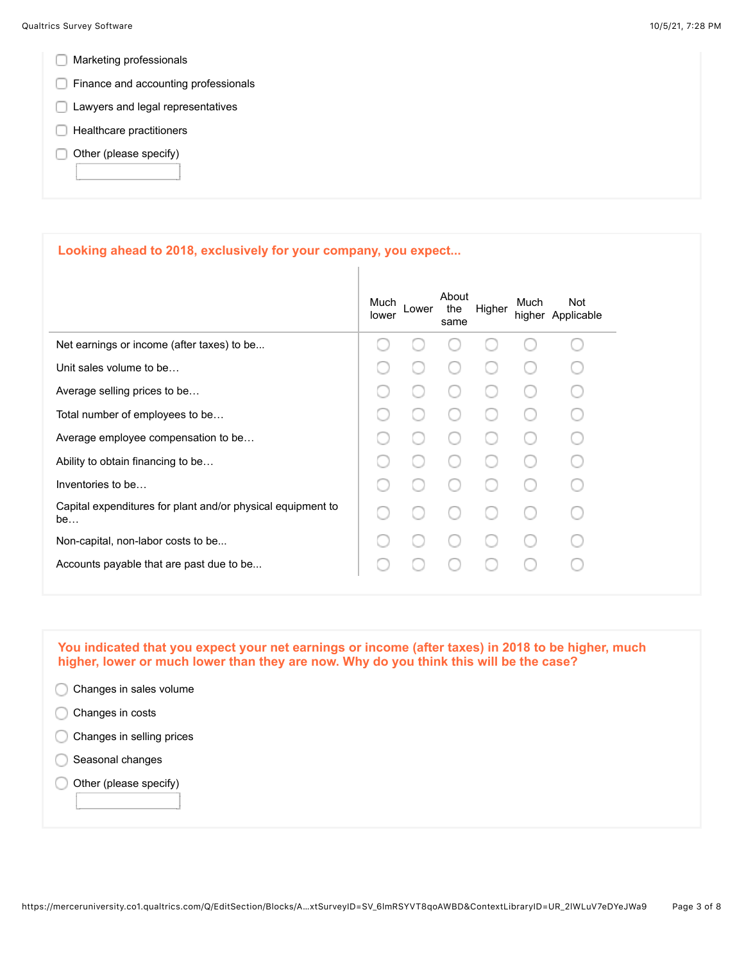- **Marketing professionals**
- **Finance and accounting professionals**
- **Lawyers and legal representatives**
- $\Box$  Healthcare practitioners
- $\Box$  Other (please specify)

## **Looking ahead to 2018, exclusively for your company, you expect...**

|                                                                   | Much<br>lower | Lower | About<br>the<br>same | Higher | Much | Not<br>higher Applicable |
|-------------------------------------------------------------------|---------------|-------|----------------------|--------|------|--------------------------|
| Net earnings or income (after taxes) to be                        |               |       |                      |        |      |                          |
| Unit sales volume to be                                           |               |       |                      |        |      |                          |
| Average selling prices to be                                      |               |       |                      |        |      |                          |
| Total number of employees to be                                   |               |       |                      |        |      |                          |
| Average employee compensation to be                               |               |       |                      |        |      |                          |
| Ability to obtain financing to be                                 |               |       |                      |        |      |                          |
| Inventories to be                                                 |               |       |                      |        |      |                          |
| Capital expenditures for plant and/or physical equipment to<br>be |               |       |                      |        |      |                          |
| Non-capital, non-labor costs to be                                |               |       |                      |        |      |                          |
| Accounts payable that are past due to be                          |               |       |                      |        |      |                          |
|                                                                   |               |       |                      |        |      |                          |

**You indicated that you expect your net earnings or income (after taxes) in 2018 to be higher, much higher, lower or much lower than they are now. Why do you think this will be the case?** 

| Changes in sales volume   |  |
|---------------------------|--|
| Changes in costs          |  |
| Changes in selling prices |  |
| Seasonal changes          |  |
| Other (please specify)    |  |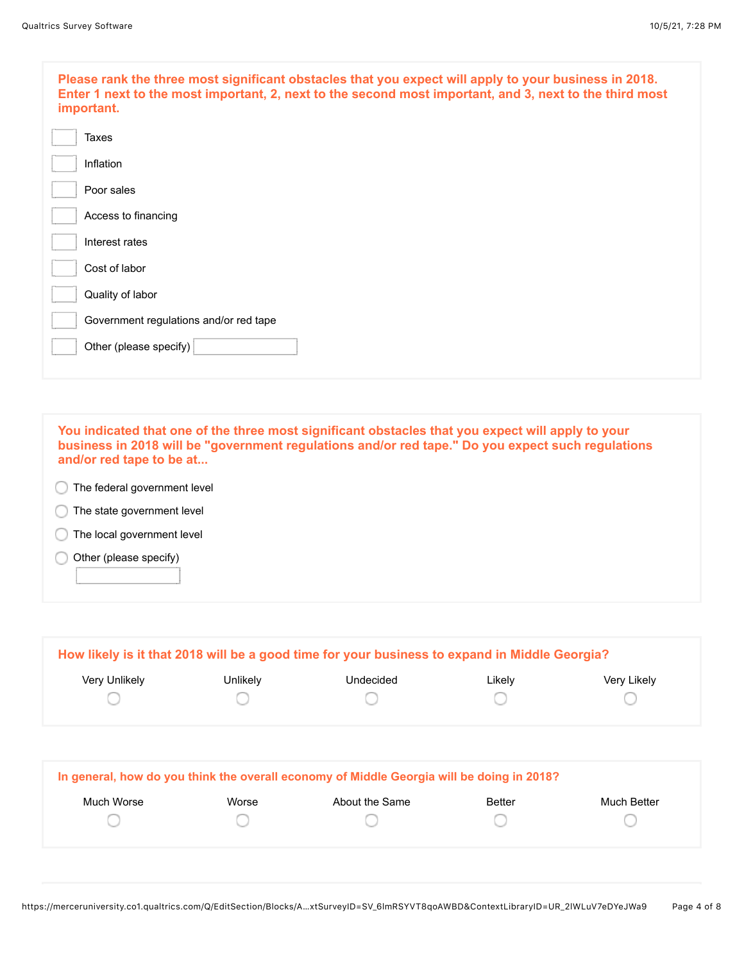| Please rank the three most significant obstacles that you expect will apply to your business in 2018.<br>Enter 1 next to the most important, 2, next to the second most important, and 3, next to the third most<br>important. |
|--------------------------------------------------------------------------------------------------------------------------------------------------------------------------------------------------------------------------------|
| <b>Taxes</b>                                                                                                                                                                                                                   |
| Inflation                                                                                                                                                                                                                      |
| Poor sales                                                                                                                                                                                                                     |
| Access to financing                                                                                                                                                                                                            |
| Interest rates                                                                                                                                                                                                                 |
| Cost of labor                                                                                                                                                                                                                  |
| Quality of labor                                                                                                                                                                                                               |
| Government regulations and/or red tape                                                                                                                                                                                         |
| Other (please specify)                                                                                                                                                                                                         |
|                                                                                                                                                                                                                                |

**You indicated that one of the three most significant obstacles that you expect will apply to your business in 2018 will be "government regulations and/or red tape." Do you expect such regulations and/or red tape to be at...** The federal government level **The state government level** The local government level Other (please specify) ∩

|               |          | How likely is it that 2018 will be a good time for your business to expand in Middle Georgia? |        |             |
|---------------|----------|-----------------------------------------------------------------------------------------------|--------|-------------|
| Very Unlikely | Unlikely | Undecided                                                                                     | Likelv | Very Likely |
|               |          |                                                                                               |        |             |
|               |          |                                                                                               |        |             |

|            |       | In general, how do you think the overall economy of Middle Georgia will be doing in 2018? |               |             |
|------------|-------|-------------------------------------------------------------------------------------------|---------------|-------------|
| Much Worse | Worse | About the Same                                                                            | <b>Better</b> | Much Better |
|            |       |                                                                                           |               |             |
|            |       |                                                                                           |               |             |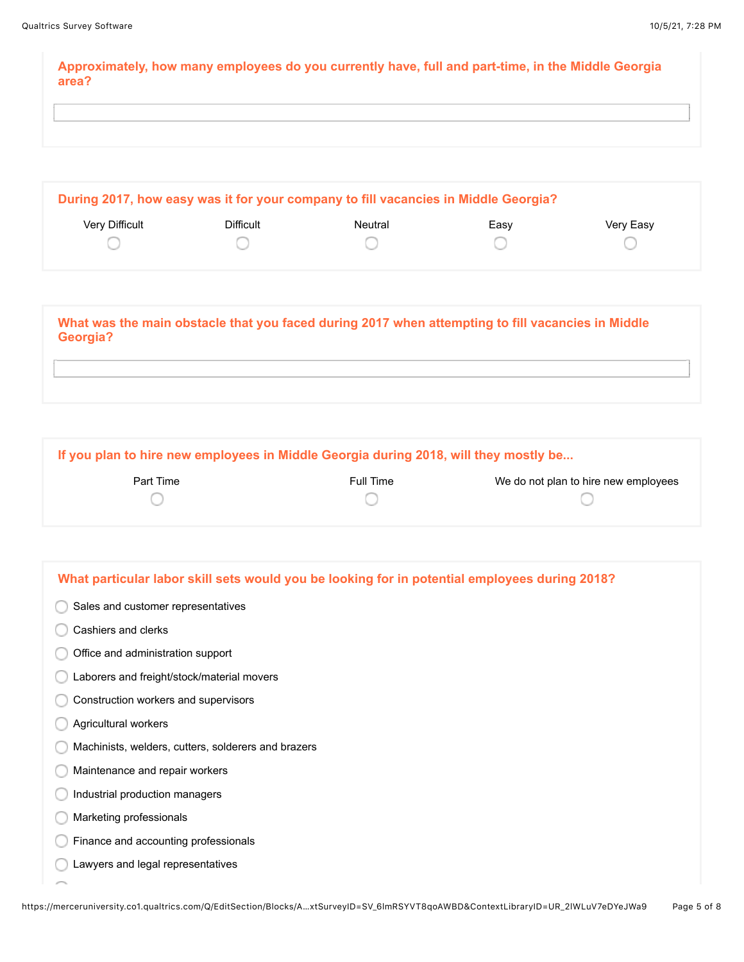**Approximately, how many employees do you currently have, full and part-time, in the Middle Georgia area?**

|                       |           | During 2017, how easy was it for your company to fill vacancies in Middle Georgia? |      |           |
|-----------------------|-----------|------------------------------------------------------------------------------------|------|-----------|
| <b>Very Difficult</b> | Difficult | Neutral                                                                            | Easy | Very Easy |
|                       |           |                                                                                    |      |           |
|                       |           |                                                                                    |      |           |

**What was the main obstacle that you faced during 2017 when attempting to fill vacancies in Middle Georgia?**

**If you plan to hire new employees in Middle Georgia during 2018, will they mostly be...**

| Part Time | Full Time | We do not plan to hire new employees |
|-----------|-----------|--------------------------------------|
|           |           |                                      |

| What particular labor skill sets would you be looking for in potential employees during 2018? |
|-----------------------------------------------------------------------------------------------|
|                                                                                               |
| Sales and customer representatives                                                            |
| Cashiers and clerks                                                                           |
| Office and administration support                                                             |
| Laborers and freight/stock/material movers                                                    |
| Construction workers and supervisors                                                          |
| Agricultural workers                                                                          |
| Machinists, welders, cutters, solderers and brazers                                           |
| Maintenance and repair workers                                                                |
| Industrial production managers                                                                |
| Marketing professionals                                                                       |
| Finance and accounting professionals                                                          |
| Lawyers and legal representatives                                                             |
|                                                                                               |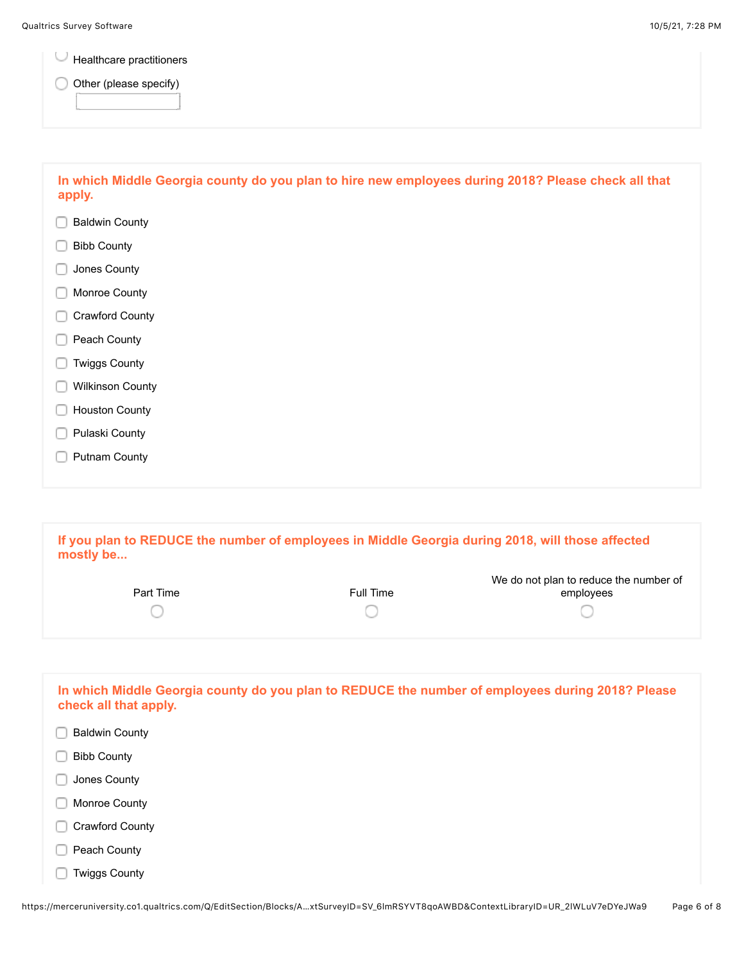U Healthcare practitioners

O Other (please specify)

| In which Middle Georgia county do you plan to hire new employees during 2018? Please check all that<br>apply. |
|---------------------------------------------------------------------------------------------------------------|
| <b>Baldwin County</b>                                                                                         |
| <b>Bibb County</b>                                                                                            |
| Jones County                                                                                                  |
| Monroe County                                                                                                 |
| Crawford County                                                                                               |
| Peach County                                                                                                  |
| <b>Twiggs County</b>                                                                                          |
| <b>Wilkinson County</b>                                                                                       |
| <b>Houston County</b>                                                                                         |
| Pulaski County                                                                                                |
| <b>Putnam County</b>                                                                                          |
|                                                                                                               |
|                                                                                                               |

**If you plan to REDUCE the number of employees in Middle Georgia during 2018, will those affected mostly be...**

| Part Time | Full Time | We do not plan to reduce the number of<br>employees |
|-----------|-----------|-----------------------------------------------------|
|           |           |                                                     |

| In which Middle Georgia county do you plan to REDUCE the number of employees during 2018? Please<br>check all that apply. |  |
|---------------------------------------------------------------------------------------------------------------------------|--|
| <b>Baldwin County</b>                                                                                                     |  |
| <b>Bibb County</b>                                                                                                        |  |
| Jones County                                                                                                              |  |
| Monroe County                                                                                                             |  |
| Crawford County                                                                                                           |  |
| Peach County                                                                                                              |  |
| <b>Twiggs County</b>                                                                                                      |  |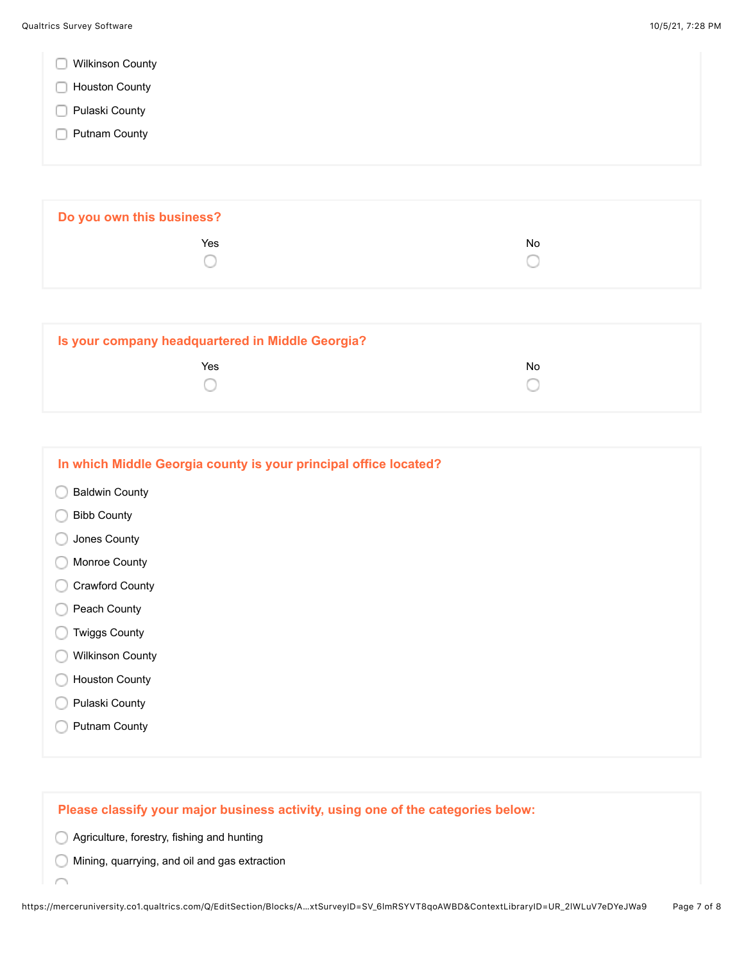|  |  | <b>Wilkinson County</b> |  |
|--|--|-------------------------|--|
|--|--|-------------------------|--|

- **Houston County**
- **Pulaski County**
- **Putnam County**

| Do you own this business? |    |  |
|---------------------------|----|--|
| Yes                       | No |  |
|                           |    |  |

| Is your company headquartered in Middle Georgia? |     |
|--------------------------------------------------|-----|
| Yes                                              | No. |
|                                                  |     |

| In which Middle Georgia county is your principal office located? |
|------------------------------------------------------------------|
| <b>Baldwin County</b>                                            |
| <b>Bibb County</b>                                               |
| Jones County                                                     |
| Monroe County                                                    |
| <b>Crawford County</b>                                           |
| Peach County                                                     |
| <b>Twiggs County</b>                                             |
| <b>Wilkinson County</b>                                          |
| <b>Houston County</b>                                            |
| Pulaski County                                                   |
| <b>Putnam County</b>                                             |
|                                                                  |

## **Please classify your major business activity, using one of the categories below:**

Agriculture, forestry, fishing and hunting

Í

Mining, quarrying, and oil and gas extraction